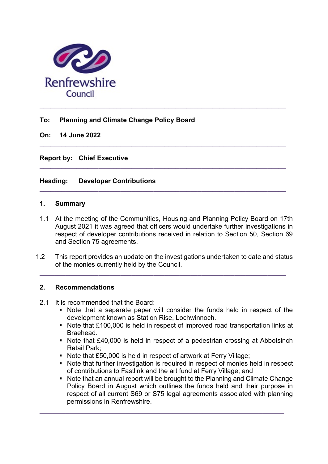

# To: Planning and Climate Change Policy Board

On: 14 June 2022

Report by: Chief Executive

# Heading: Developer Contributions

### 1. Summary

1.1 At the meeting of the Communities, Housing and Planning Policy Board on 17th August 2021 it was agreed that officers would undertake further investigations in respect of developer contributions received in relation to Section 50, Section 69 and Section 75 agreements.

 $\_$  ,  $\_$  ,  $\_$  ,  $\_$  ,  $\_$  ,  $\_$  ,  $\_$  ,  $\_$  ,  $\_$  ,  $\_$  ,  $\_$  ,  $\_$  ,  $\_$  ,  $\_$  ,  $\_$  ,  $\_$  ,  $\_$  ,  $\_$  ,  $\_$ 

 $\_$  , and the set of the set of the set of the set of the set of the set of the set of the set of the set of the set of the set of the set of the set of the set of the set of the set of the set of the set of the set of th

 $\_$  ,  $\_$  ,  $\_$  ,  $\_$  ,  $\_$  ,  $\_$  ,  $\_$  ,  $\_$  ,  $\_$  ,  $\_$  ,  $\_$  ,  $\_$  ,  $\_$  ,  $\_$  ,  $\_$  ,  $\_$  ,  $\_$  ,  $\_$  ,  $\_$ 

1.2 This report provides an update on the investigations undertaken to date and status of the monies currently held by the Council.

 $\_$  ,  $\_$  ,  $\_$  ,  $\_$  ,  $\_$  ,  $\_$  ,  $\_$  ,  $\_$  ,  $\_$  ,  $\_$  ,  $\_$  ,  $\_$  ,  $\_$  ,  $\_$  ,  $\_$  ,  $\_$  ,  $\_$  ,  $\_$  ,  $\_$ 

### 2. Recommendations

- 2.1 It is recommended that the Board:
	- Note that a separate paper will consider the funds held in respect of the development known as Station Rise, Lochwinnoch.
	- Note that £100,000 is held in respect of improved road transportation links at Braehead.
	- Note that £40,000 is held in respect of a pedestrian crossing at Abbotsinch Retail Park;
	- Note that £50,000 is held in respect of artwork at Ferry Village;

\_\_\_\_\_\_\_\_\_\_\_\_\_\_\_\_\_\_\_\_\_\_\_\_\_\_\_\_\_\_\_\_\_\_\_\_\_\_\_\_\_\_\_\_\_\_\_\_\_\_\_\_\_\_\_\_\_

- Note that further investigation is required in respect of monies held in respect of contributions to Fastlink and the art fund at Ferry Village; and
- Note that an annual report will be brought to the Planning and Climate Change Policy Board in August which outlines the funds held and their purpose in respect of all current S69 or S75 legal agreements associated with planning permissions in Renfrewshire.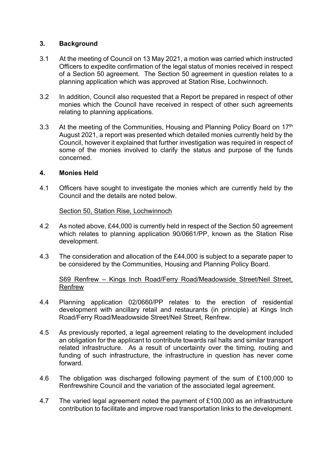## 3. Background

- 3.1 At the meeting of Council on 13 May 2021, a motion was carried which instructed Officers to expedite confirmation of the legal status of monies received in respect of a Section 50 agreement. The Section 50 agreement in question relates to a planning application which was approved at Station Rise, Lochwinnoch.
- 3.2 In addition, Council also requested that a Report be prepared in respect of other monies which the Council have received in respect of other such agreements relating to planning applications.
- 3.3 At the meeting of the Communities, Housing and Planning Policy Board on 17<sup>th</sup> August 2021, a report was presented which detailed monies currently held by the Council, however it explained that further investigation was required in respect of some of the monies involved to clarify the status and purpose of the funds concerned.

### 4. Monies Held

4.1 Officers have sought to investigate the monies which are currently held by the Council and the details are noted below.

#### Section 50, Station Rise, Lochwinnoch

- 4.2 As noted above, £44,000 is currently held in respect of the Section 50 agreement which relates to planning application 90/0661/PP, known as the Station Rise development.
- 4.3 The consideration and allocation of the £44,000 is subject to a separate paper to be considered by the Communities, Housing and Planning Policy Board.

#### S69 Renfrew - Kings Inch Road/Ferry Road/Meadowside Street/Neil Street, Renfrew

- 4.4 Planning application 02/0660/PP relates to the erection of residential development with ancillary retail and restaurants (in principle) at Kings Inch Road/Ferry Road/Meadowside Street/Neil Street, Renfrew.
- 4.5 As previously reported, a legal agreement relating to the development included an obligation for the applicant to contribute towards rail halts and similar transport related infrastructure. As a result of uncertainty over the timing, routing and funding of such infrastructure, the infrastructure in question has never come forward.
- 4.6 The obligation was discharged following payment of the sum of £100,000 to Renfrewshire Council and the variation of the associated legal agreement.
- 4.7 The varied legal agreement noted the payment of £100,000 as an infrastructure contribution to facilitate and improve road transportation links to the development.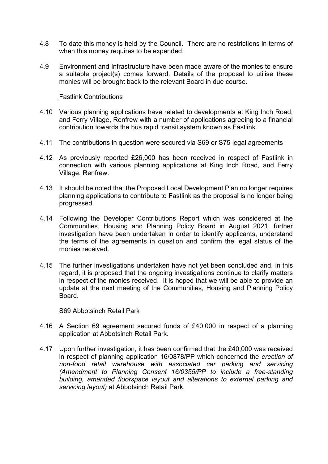- 4.8 To date this money is held by the Council. There are no restrictions in terms of when this money requires to be expended.
- 4.9 Environment and Infrastructure have been made aware of the monies to ensure a suitable project(s) comes forward. Details of the proposal to utilise these monies will be brought back to the relevant Board in due course.

#### Fastlink Contributions

- 4.10 Various planning applications have related to developments at King Inch Road, and Ferry Village, Renfrew with a number of applications agreeing to a financial contribution towards the bus rapid transit system known as Fastlink.
- 4.11 The contributions in question were secured via S69 or S75 legal agreements
- 4.12 As previously reported £26,000 has been received in respect of Fastlink in connection with various planning applications at King Inch Road, and Ferry Village, Renfrew.
- 4.13 It should be noted that the Proposed Local Development Plan no longer requires planning applications to contribute to Fastlink as the proposal is no longer being progressed.
- 4.14 Following the Developer Contributions Report which was considered at the Communities, Housing and Planning Policy Board in August 2021, further investigation have been undertaken in order to identify applicants, understand the terms of the agreements in question and confirm the legal status of the monies received.
- 4.15 The further investigations undertaken have not yet been concluded and, in this regard, it is proposed that the ongoing investigations continue to clarify matters in respect of the monies received. It is hoped that we will be able to provide an update at the next meeting of the Communities, Housing and Planning Policy Board.

#### S69 Abbotsinch Retail Park

- 4.16 A Section 69 agreement secured funds of £40,000 in respect of a planning application at Abbotsinch Retail Park.
- 4.17 Upon further investigation, it has been confirmed that the £40,000 was received in respect of planning application 16/0878/PP which concerned the erection of non-food retail warehouse with associated car parking and servicing (Amendment to Planning Consent 16/0355/PP to include a free-standing building, amended floorspace layout and alterations to external parking and servicing layout) at Abbotsinch Retail Park.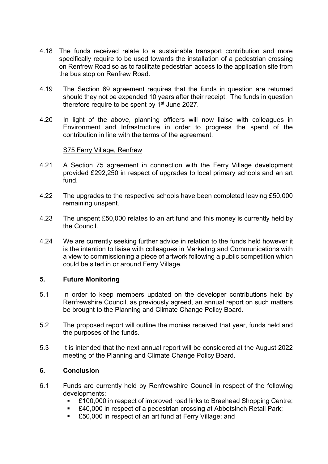- 4.18 The funds received relate to a sustainable transport contribution and more specifically require to be used towards the installation of a pedestrian crossing on Renfrew Road so as to facilitate pedestrian access to the application site from the bus stop on Renfrew Road.
- 4.19 The Section 69 agreement requires that the funds in question are returned should they not be expended 10 years after their receipt. The funds in question therefore require to be spent by  $1<sup>st</sup>$  June 2027.
- 4.20 In light of the above, planning officers will now liaise with colleagues in Environment and Infrastructure in order to progress the spend of the contribution in line with the terms of the agreement.

#### S75 Ferry Village, Renfrew

- 4.21 A Section 75 agreement in connection with the Ferry Village development provided £292,250 in respect of upgrades to local primary schools and an art fund.
- 4.22 The upgrades to the respective schools have been completed leaving £50,000 remaining unspent.
- 4.23 The unspent £50,000 relates to an art fund and this money is currently held by the Council.
- 4.24 We are currently seeking further advice in relation to the funds held however it is the intention to liaise with colleagues in Marketing and Communications with a view to commissioning a piece of artwork following a public competition which could be sited in or around Ferry Village.

### 5. Future Monitoring

- 5.1 In order to keep members updated on the developer contributions held by Renfrewshire Council, as previously agreed, an annual report on such matters be brought to the Planning and Climate Change Policy Board.
- 5.2 The proposed report will outline the monies received that year, funds held and the purposes of the funds.
- 5.3 It is intended that the next annual report will be considered at the August 2022 meeting of the Planning and Climate Change Policy Board.

## 6. Conclusion

- 6.1 Funds are currently held by Renfrewshire Council in respect of the following developments:
	- £100,000 in respect of improved road links to Braehead Shopping Centre;
	- £40,000 in respect of a pedestrian crossing at Abbotsinch Retail Park;
	- £50,000 in respect of an art fund at Ferry Village; and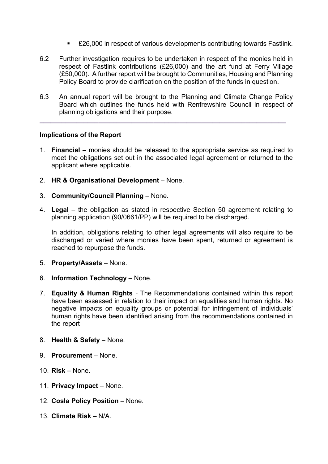- £26,000 in respect of various developments contributing towards Fastlink.
- 6.2 Further investigation requires to be undertaken in respect of the monies held in respect of Fastlink contributions (£26,000) and the art fund at Ferry Village (£50,000). A further report will be brought to Communities, Housing and Planning Policy Board to provide clarification on the position of the funds in question.
- 6.3 An annual report will be brought to the Planning and Climate Change Policy Board which outlines the funds held with Renfrewshire Council in respect of planning obligations and their purpose.

 $\_$  ,  $\_$  ,  $\_$  ,  $\_$  ,  $\_$  ,  $\_$  ,  $\_$  ,  $\_$  ,  $\_$  ,  $\_$  ,  $\_$  ,  $\_$  ,  $\_$  ,  $\_$  ,  $\_$  ,  $\_$  ,  $\_$  ,  $\_$  ,  $\_$ 

#### Implications of the Report

- 1. Financial monies should be released to the appropriate service as required to meet the obligations set out in the associated legal agreement or returned to the applicant where applicable.
- 2. HR & Organisational Development None.
- 3. Community/Council Planning None.
- 4. Legal the obligation as stated in respective Section 50 agreement relating to planning application (90/0661/PP) will be required to be discharged.

In addition, obligations relating to other legal agreements will also require to be discharged or varied where monies have been spent, returned or agreement is reached to repurpose the funds.

- 5. Property/Assets None.
- 6. Information Technology None.
- 7. Equality & Human Rights The Recommendations contained within this report have been assessed in relation to their impact on equalities and human rights. No negative impacts on equality groups or potential for infringement of individuals' human rights have been identified arising from the recommendations contained in the report
- 8. Health & Safety None.
- 9. Procurement None.
- 10. Risk None.
- 11. Privacy Impact None.
- 12. Cosla Policy Position None.
- 13. Climate Risk N/A.